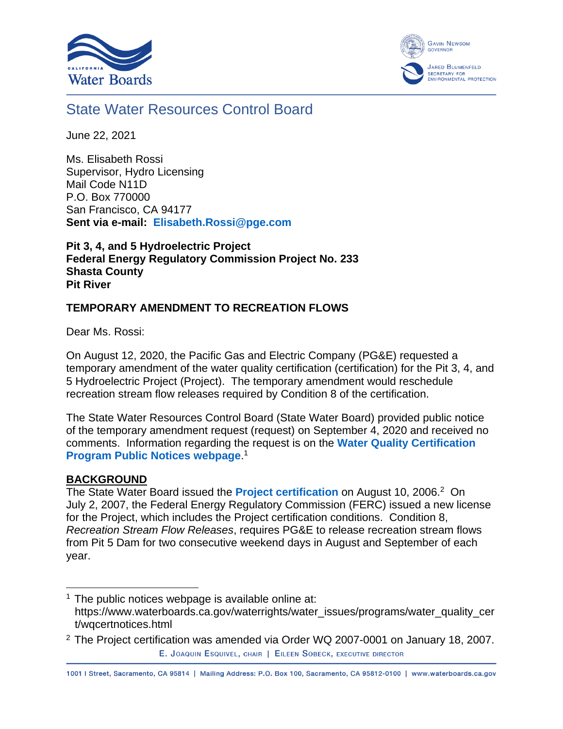



# State Water Resources Control Board

June 22, 2021

Ms. Elisabeth Rossi Supervisor, Hydro Licensing Mail Code N11D P.O. Box 770000 San Francisco, CA 94177 **Sent via e-mail: [Elisabeth.Rossi@pge.com](mailto:Elisabeth.Rossi@pge.com)**

**Pit 3, 4, and 5 Hydroelectric Project Federal Energy Regulatory Commission Project No. 233 Shasta County Pit River**

### **TEMPORARY AMENDMENT TO RECREATION FLOWS**

Dear Ms. Rossi:

On August 12, 2020, the Pacific Gas and Electric Company (PG&E) requested a temporary amendment of the water quality certification (certification) for the Pit 3, 4, and 5 Hydroelectric Project (Project). The temporary amendment would reschedule recreation stream flow releases required by Condition 8 of the certification.

The State Water Resources Control Board (State Water Board) provided public notice of the temporary amendment request (request) on September 4, 2020 and received no comments. Information regarding the request is on the **[Water Quality Certification](https://www.waterboards.ca.gov/waterrights/water_issues/programs/water_quality_cert/wqcertnotices.html)  [Program Public Notices webpage](https://www.waterboards.ca.gov/waterrights/water_issues/programs/water_quality_cert/wqcertnotices.html)**. 1

#### **BACKGROUND**

The State Water Board issued the **[Project certification](https://www.waterboards.ca.gov/waterrights/water_issues/programs/water_quality_cert/docs/pit345_ferc233081/pit_final_wqc.pdf)** on August 10, 2006.<sup>2</sup> On July 2, 2007, the Federal Energy Regulatory Commission (FERC) issued a new license for the Project, which includes the Project certification conditions. Condition 8, *Recreation Stream Flow Releases*, requires PG&E to release recreation stream flows from Pit 5 Dam for two consecutive weekend days in August and September of each year.

1001 | Street, Sacramento, CA 95814 | Mailing Address: P.O. Box 100, Sacramento, CA 95812-0100 | www.waterboards.ca.gov

 $1$  The public notices webpage is available online at: https://www.waterboards.ca.gov/waterrights/water\_issues/programs/water\_quality\_cer t/wqcertnotices.html

<sup>&</sup>lt;sup>2</sup> The Project certification was amended via Order WQ 2007-0001 on January 18, 2007. E. JOAQUIN ESQUIVEL, CHAIR | EILEEN SOBECK, EXECUTIVE DIRECTOR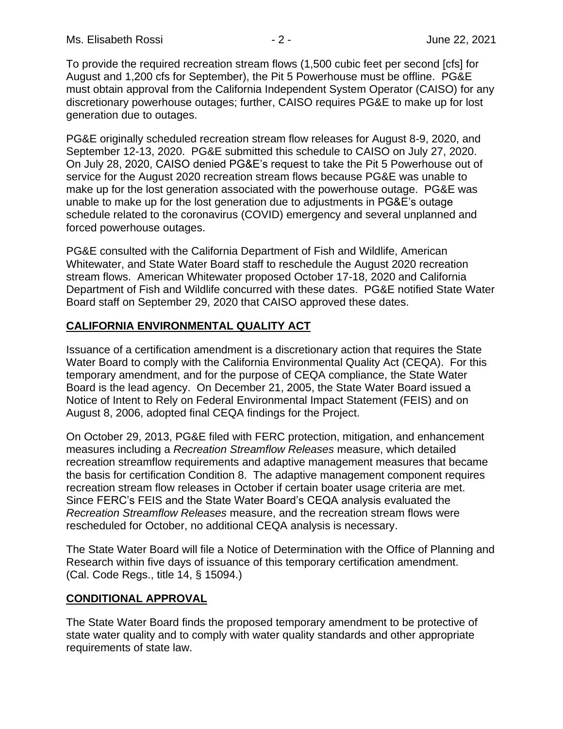To provide the required recreation stream flows (1,500 cubic feet per second [cfs] for August and 1,200 cfs for September), the Pit 5 Powerhouse must be offline. PG&E must obtain approval from the California Independent System Operator (CAISO) for any discretionary powerhouse outages; further, CAISO requires PG&E to make up for lost generation due to outages.

PG&E originally scheduled recreation stream flow releases for August 8-9, 2020, and September 12-13, 2020. PG&E submitted this schedule to CAISO on July 27, 2020. On July 28, 2020, CAISO denied PG&E's request to take the Pit 5 Powerhouse out of service for the August 2020 recreation stream flows because PG&E was unable to make up for the lost generation associated with the powerhouse outage. PG&E was unable to make up for the lost generation due to adjustments in PG&E's outage schedule related to the coronavirus (COVID) emergency and several unplanned and forced powerhouse outages.

PG&E consulted with the California Department of Fish and Wildlife, American Whitewater, and State Water Board staff to reschedule the August 2020 recreation stream flows. American Whitewater proposed October 17-18, 2020 and California Department of Fish and Wildlife concurred with these dates. PG&E notified State Water Board staff on September 29, 2020 that CAISO approved these dates.

## **CALIFORNIA ENVIRONMENTAL QUALITY ACT**

Issuance of a certification amendment is a discretionary action that requires the State Water Board to comply with the California Environmental Quality Act (CEQA). For this temporary amendment, and for the purpose of CEQA compliance, the State Water Board is the lead agency. On December 21, 2005, the State Water Board issued a Notice of Intent to Rely on Federal Environmental Impact Statement (FEIS) and on August 8, 2006, adopted final CEQA findings for the Project.

On October 29, 2013, PG&E filed with FERC protection, mitigation, and enhancement measures including a *Recreation Streamflow Releases* measure, which detailed recreation streamflow requirements and adaptive management measures that became the basis for certification Condition 8. The adaptive management component requires recreation stream flow releases in October if certain boater usage criteria are met. Since FERC's FEIS and the State Water Board's CEQA analysis evaluated the *Recreation Streamflow Releases* measure, and the recreation stream flows were rescheduled for October, no additional CEQA analysis is necessary.

The State Water Board will file a Notice of Determination with the Office of Planning and Research within five days of issuance of this temporary certification amendment. (Cal. Code Regs., title 14, § 15094.)

#### **CONDITIONAL APPROVAL**

The State Water Board finds the proposed temporary amendment to be protective of state water quality and to comply with water quality standards and other appropriate requirements of state law.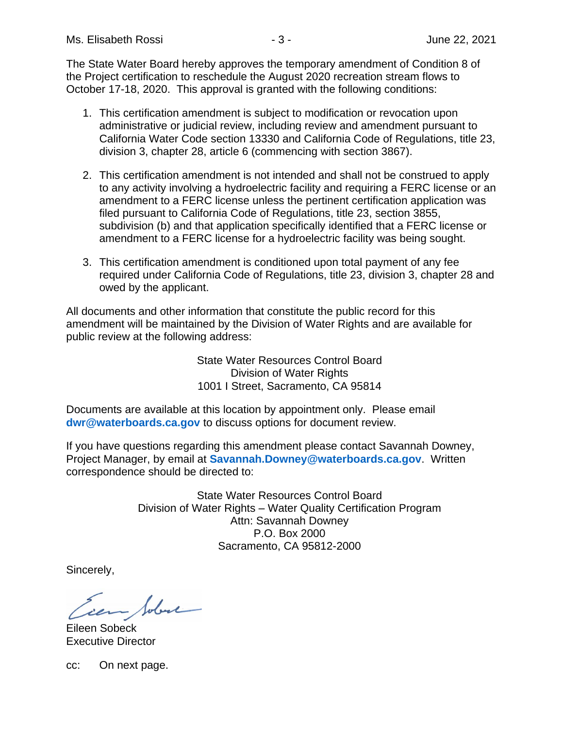The State Water Board hereby approves the temporary amendment of Condition 8 of the Project certification to reschedule the August 2020 recreation stream flows to October 17-18, 2020. This approval is granted with the following conditions:

- 1. This certification amendment is subject to modification or revocation upon administrative or judicial review, including review and amendment pursuant to California Water Code section 13330 and California Code of Regulations, title 23, division 3, chapter 28, article 6 (commencing with section 3867).
- 2. This certification amendment is not intended and shall not be construed to apply to any activity involving a hydroelectric facility and requiring a FERC license or an amendment to a FERC license unless the pertinent certification application was filed pursuant to California Code of Regulations, title 23, section 3855, subdivision (b) and that application specifically identified that a FERC license or amendment to a FERC license for a hydroelectric facility was being sought.
- 3. This certification amendment is conditioned upon total payment of any fee required under California Code of Regulations, title 23, division 3, chapter 28 and owed by the applicant.

All documents and other information that constitute the public record for this amendment will be maintained by the Division of Water Rights and are available for public review at the following address:

> State Water Resources Control Board Division of Water Rights 1001 I Street, Sacramento, CA 95814

Documents are available at this location by appointment only. Please email **[dwr@waterboards.ca.gov](mailto:dwr@waterboards.ca.gov)** to discuss options for document review.

If you have questions regarding this amendment please contact Savannah Downey, Project Manager, by email at **[Savannah.Downey@waterboards.ca.gov](mailto:Savannah.Downey@waterboards.ca.gov)**. Written correspondence should be directed to:

> State Water Resources Control Board Division of Water Rights – Water Quality Certification Program Attn: Savannah Downey P.O. Box 2000 Sacramento, CA 95812-2000

Sincerely,

Sobre

Eileen Sobeck Executive Director

cc: On next page.